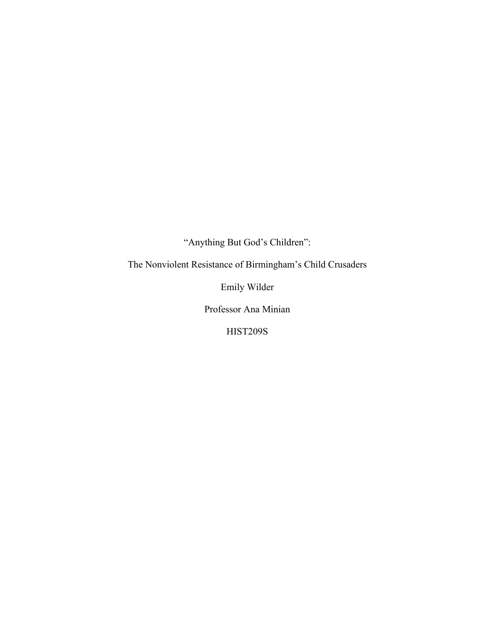"Anything But God's Children":

The Nonviolent Resistance of Birmingham's Child Crusaders

Emily Wilder

Professor Ana Minian

HIST209S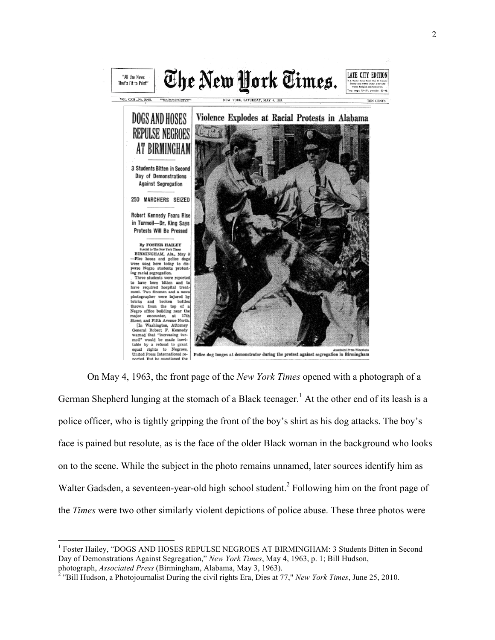

On May 4, 1963, the front page of the *New York Times* opened with a photograph of a German Shepherd lunging at the stomach of a Black teenager.<sup>1</sup> At the other end of its leash is a police officer, who is tightly gripping the front of the boy's shirt as his dog attacks. The boy's face is pained but resolute, as is the face of the older Black woman in the background who looks on to the scene. While the subject in the photo remains unnamed, later sources identify him as Walter Gadsden, a seventeen-year-old high school student.<sup>2</sup> Following him on the front page of the *Times* were two other similarly violent depictions of police abuse. These three photos were

<sup>&</sup>lt;sup>1</sup> Foster Hailey, "DOGS AND HOSES REPULSE NEGROES AT BIRMINGHAM: 3 Students Bitten in Second Day of Demonstrations Against Segregation," *New York Times*, May 4, 1963, p. 1; Bill Hudson, photograph, *Associated Press* (Birmingham, Alabama, May 3, 1963). <sup>2</sup> "Bill Hudson, a Photojournalist During the civil rights Era, Dies at 77," *New York Times*, June 25, 2010.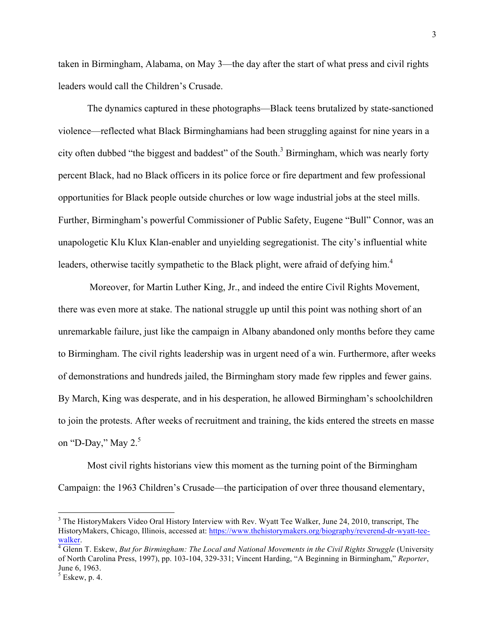taken in Birmingham, Alabama, on May 3—the day after the start of what press and civil rights leaders would call the Children's Crusade.

The dynamics captured in these photographs—Black teens brutalized by state-sanctioned violence—reflected what Black Birminghamians had been struggling against for nine years in a city often dubbed "the biggest and baddest" of the South.<sup>3</sup> Birmingham, which was nearly forty percent Black, had no Black officers in its police force or fire department and few professional opportunities for Black people outside churches or low wage industrial jobs at the steel mills. Further, Birmingham's powerful Commissioner of Public Safety, Eugene "Bull" Connor, was an unapologetic Klu Klux Klan-enabler and unyielding segregationist. The city's influential white leaders, otherwise tacitly sympathetic to the Black plight, were afraid of defying him.<sup>4</sup>

Moreover, for Martin Luther King, Jr., and indeed the entire Civil Rights Movement, there was even more at stake. The national struggle up until this point was nothing short of an unremarkable failure, just like the campaign in Albany abandoned only months before they came to Birmingham. The civil rights leadership was in urgent need of a win. Furthermore, after weeks of demonstrations and hundreds jailed, the Birmingham story made few ripples and fewer gains. By March, King was desperate, and in his desperation, he allowed Birmingham's schoolchildren to join the protests. After weeks of recruitment and training, the kids entered the streets en masse on "D-Day," May  $2^5$ 

Most civil rights historians view this moment as the turning point of the Birmingham Campaign: the 1963 Children's Crusade—the participation of over three thousand elementary,

<sup>&</sup>lt;sup>3</sup> The HistoryMakers Video Oral History Interview with Rev. Wyatt Tee Walker, June 24, 2010, transcript, The HistoryMakers, Chicago, Illinois, accessed at: https://www.thehistorymakers.org/biography/reverend-dr-wyatt-teewalker.<br><sup>4</sup> Glenn T. Eskew, *But for Birmingham: The Local and National Movements in the Civil Rights Struggle (University* 

of North Carolina Press, 1997), pp. 103-104, 329-331; Vincent Harding, "A Beginning in Birmingham," *Reporter*, June 6, 1963.

 $<sup>5</sup>$  Eskew, p. 4.</sup>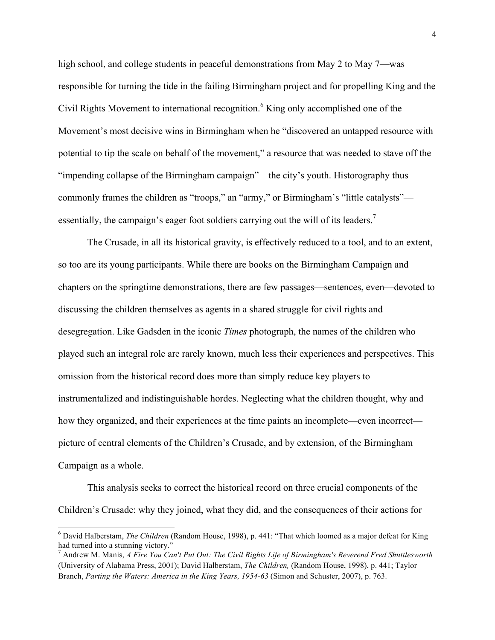high school, and college students in peaceful demonstrations from May 2 to May 7—was responsible for turning the tide in the failing Birmingham project and for propelling King and the Civil Rights Movement to international recognition.<sup>6</sup> King only accomplished one of the Movement's most decisive wins in Birmingham when he "discovered an untapped resource with potential to tip the scale on behalf of the movement," a resource that was needed to stave off the "impending collapse of the Birmingham campaign"—the city's youth. Historography thus commonly frames the children as "troops," an "army," or Birmingham's "little catalysts" essentially, the campaign's eager foot soldiers carrying out the will of its leaders.<sup>7</sup>

The Crusade, in all its historical gravity, is effectively reduced to a tool, and to an extent, so too are its young participants. While there are books on the Birmingham Campaign and chapters on the springtime demonstrations, there are few passages—sentences, even—devoted to discussing the children themselves as agents in a shared struggle for civil rights and desegregation. Like Gadsden in the iconic *Times* photograph, the names of the children who played such an integral role are rarely known, much less their experiences and perspectives. This omission from the historical record does more than simply reduce key players to instrumentalized and indistinguishable hordes. Neglecting what the children thought, why and how they organized, and their experiences at the time paints an incomplete—even incorrect picture of central elements of the Children's Crusade, and by extension, of the Birmingham Campaign as a whole.

This analysis seeks to correct the historical record on three crucial components of the Children's Crusade: why they joined, what they did, and the consequences of their actions for

<sup>6</sup> David Halberstam, *The Children* (Random House, 1998), p. 441: "That which loomed as a major defeat for King had turned into a stunning victory."

<sup>7</sup> Andrew M. Manis, *A Fire You Can't Put Out: The Civil Rights Life of Birmingham's Reverend Fred Shuttlesworth* (University of Alabama Press, 2001); David Halberstam, *The Children,* (Random House, 1998), p. 441; Taylor Branch, *Parting the Waters: America in the King Years, 1954-63* (Simon and Schuster, 2007), p. 763.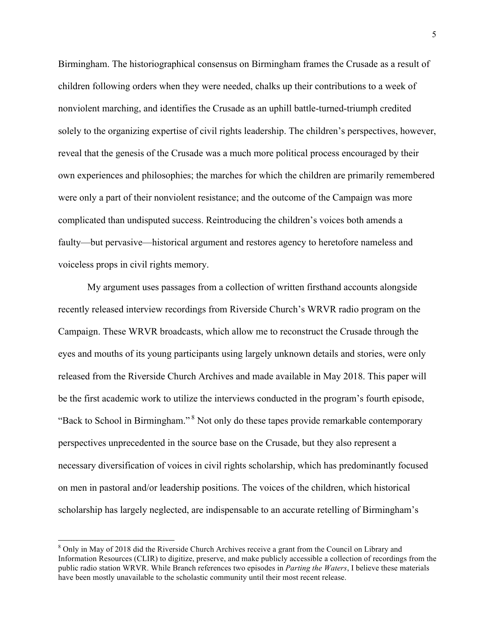Birmingham. The historiographical consensus on Birmingham frames the Crusade as a result of children following orders when they were needed, chalks up their contributions to a week of nonviolent marching, and identifies the Crusade as an uphill battle-turned-triumph credited solely to the organizing expertise of civil rights leadership. The children's perspectives, however, reveal that the genesis of the Crusade was a much more political process encouraged by their own experiences and philosophies; the marches for which the children are primarily remembered were only a part of their nonviolent resistance; and the outcome of the Campaign was more complicated than undisputed success. Reintroducing the children's voices both amends a faulty—but pervasive—historical argument and restores agency to heretofore nameless and voiceless props in civil rights memory.

My argument uses passages from a collection of written firsthand accounts alongside recently released interview recordings from Riverside Church's WRVR radio program on the Campaign. These WRVR broadcasts, which allow me to reconstruct the Crusade through the eyes and mouths of its young participants using largely unknown details and stories, were only released from the Riverside Church Archives and made available in May 2018. This paper will be the first academic work to utilize the interviews conducted in the program's fourth episode, "Back to School in Birmingham." <sup>8</sup> Not only do these tapes provide remarkable contemporary perspectives unprecedented in the source base on the Crusade, but they also represent a necessary diversification of voices in civil rights scholarship, which has predominantly focused on men in pastoral and/or leadership positions. The voices of the children, which historical scholarship has largely neglected, are indispensable to an accurate retelling of Birmingham's

<sup>&</sup>lt;sup>8</sup> Only in May of 2018 did the Riverside Church Archives receive a grant from the Council on Library and Information Resources (CLIR) to digitize, preserve, and make publicly accessible a collection of recordings from the public radio station WRVR. While Branch references two episodes in *Parting the Waters*, I believe these materials have been mostly unavailable to the scholastic community until their most recent release.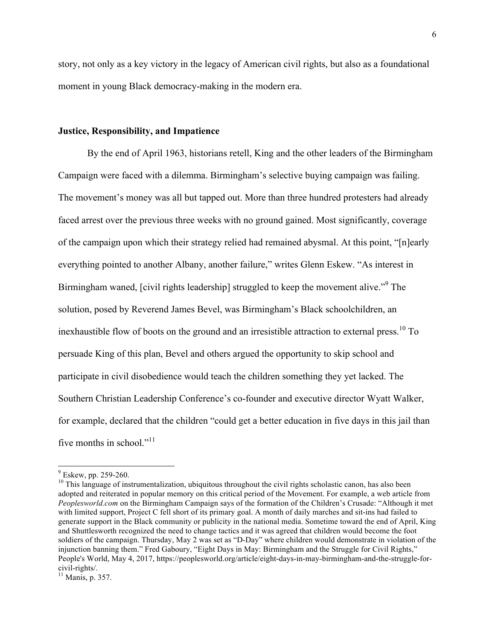story, not only as a key victory in the legacy of American civil rights, but also as a foundational moment in young Black democracy-making in the modern era.

## **Justice, Responsibility, and Impatience**

By the end of April 1963, historians retell, King and the other leaders of the Birmingham Campaign were faced with a dilemma. Birmingham's selective buying campaign was failing. The movement's money was all but tapped out. More than three hundred protesters had already faced arrest over the previous three weeks with no ground gained. Most significantly, coverage of the campaign upon which their strategy relied had remained abysmal. At this point, "[n]early everything pointed to another Albany, another failure," writes Glenn Eskew. "As interest in Birmingham waned, [civil rights leadership] struggled to keep the movement alive."<sup>9</sup> The solution, posed by Reverend James Bevel, was Birmingham's Black schoolchildren, an inexhaustible flow of boots on the ground and an irresistible attraction to external press.<sup>10</sup> To persuade King of this plan, Bevel and others argued the opportunity to skip school and participate in civil disobedience would teach the children something they yet lacked. The Southern Christian Leadership Conference's co-founder and executive director Wyatt Walker, for example, declared that the children "could get a better education in five days in this jail than five months in school."<sup>11</sup>

 $\frac{9}{10}$  Eskew, pp. 259-260.<br><sup>10</sup> This language of instrumentalization, ubiquitous throughout the civil rights scholastic canon, has also been adopted and reiterated in popular memory on this critical period of the Movement. For example, a web article from *Peoplesworld.com* on the Birmingham Campaign says of the formation of the Children's Crusade: "Although it met with limited support, Project C fell short of its primary goal. A month of daily marches and sit-ins had failed to generate support in the Black community or publicity in the national media. Sometime toward the end of April, King and Shuttlesworth recognized the need to change tactics and it was agreed that children would become the foot soldiers of the campaign. Thursday, May 2 was set as "D-Day" where children would demonstrate in violation of the injunction banning them." Fred Gaboury, "Eight Days in May: Birmingham and the Struggle for Civil Rights," People's World, May 4, 2017, https://peoplesworld.org/article/eight-days-in-may-birmingham-and-the-struggle-for-

 $^{11}$  Manis, p. 357.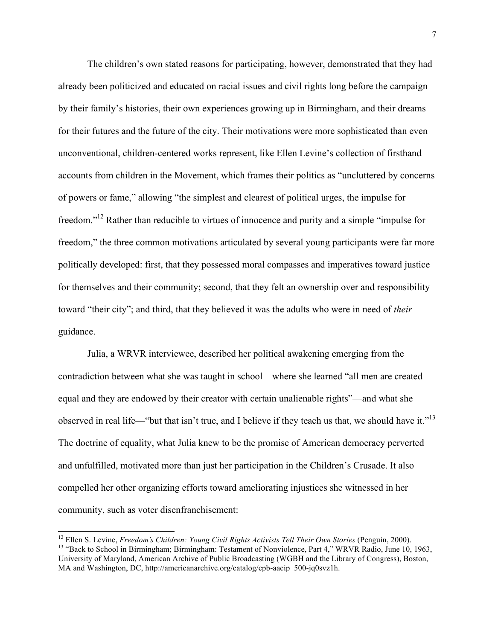The children's own stated reasons for participating, however, demonstrated that they had already been politicized and educated on racial issues and civil rights long before the campaign by their family's histories, their own experiences growing up in Birmingham, and their dreams for their futures and the future of the city. Their motivations were more sophisticated than even unconventional, children-centered works represent, like Ellen Levine's collection of firsthand accounts from children in the Movement, which frames their politics as "uncluttered by concerns of powers or fame," allowing "the simplest and clearest of political urges, the impulse for freedom."12 Rather than reducible to virtues of innocence and purity and a simple "impulse for freedom," the three common motivations articulated by several young participants were far more politically developed: first, that they possessed moral compasses and imperatives toward justice for themselves and their community; second, that they felt an ownership over and responsibility toward "their city"; and third, that they believed it was the adults who were in need of *their* guidance.

Julia, a WRVR interviewee, described her political awakening emerging from the contradiction between what she was taught in school—where she learned "all men are created equal and they are endowed by their creator with certain unalienable rights"—and what she observed in real life—"but that isn't true, and I believe if they teach us that, we should have it."<sup>13</sup> The doctrine of equality, what Julia knew to be the promise of American democracy perverted and unfulfilled, motivated more than just her participation in the Children's Crusade. It also compelled her other organizing efforts toward ameliorating injustices she witnessed in her community, such as voter disenfranchisement:

<sup>&</sup>lt;sup>12</sup> Ellen S. Levine, *Freedom's Children: Young Civil Rights Activists Tell Their Own Stories* (Penguin, 2000).<br><sup>13</sup> "Back to School in Birmingham; Birmingham: Testament of Nonviolence, Part 4," WRVR Radio, June 10, 1963, University of Maryland, American Archive of Public Broadcasting (WGBH and the Library of Congress), Boston, MA and Washington, DC, http://americanarchive.org/catalog/cpb-aacip\_500-jq0svz1h.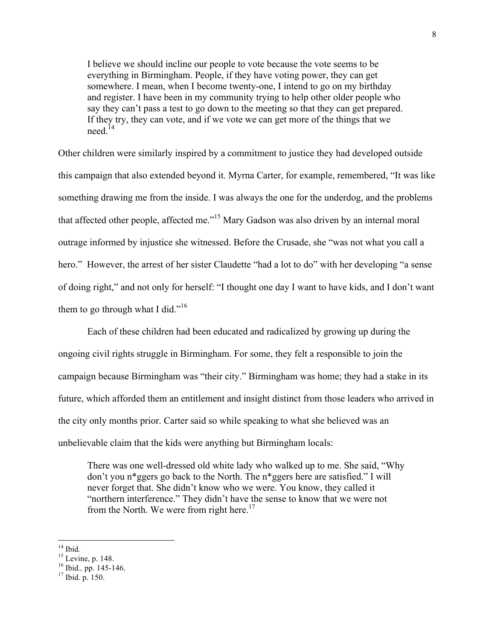I believe we should incline our people to vote because the vote seems to be everything in Birmingham. People, if they have voting power, they can get somewhere. I mean, when I become twenty-one, I intend to go on my birthday and register. I have been in my community trying to help other older people who say they can't pass a test to go down to the meeting so that they can get prepared. If they try, they can vote, and if we vote we can get more of the things that we need <sup>14</sup>

Other children were similarly inspired by a commitment to justice they had developed outside this campaign that also extended beyond it. Myrna Carter, for example, remembered, "It was like something drawing me from the inside. I was always the one for the underdog, and the problems that affected other people, affected me."<sup>15</sup> Mary Gadson was also driven by an internal moral outrage informed by injustice she witnessed. Before the Crusade, she "was not what you call a hero." However, the arrest of her sister Claudette "had a lot to do" with her developing "a sense of doing right," and not only for herself: "I thought one day I want to have kids, and I don't want them to go through what I did."<sup>16</sup>

Each of these children had been educated and radicalized by growing up during the ongoing civil rights struggle in Birmingham. For some, they felt a responsible to join the campaign because Birmingham was "their city." Birmingham was home; they had a stake in its future, which afforded them an entitlement and insight distinct from those leaders who arrived in the city only months prior. Carter said so while speaking to what she believed was an unbelievable claim that the kids were anything but Birmingham locals:

There was one well-dressed old white lady who walked up to me. She said, "Why don't you n\*ggers go back to the North. The n\*ggers here are satisfied." I will never forget that. She didn't know who we were. You know, they called it "northern interference." They didn't have the sense to know that we were not from the North. We were from right here.<sup>17</sup>

<sup>&</sup>lt;sup>14</sup> Ibid.<br><sup>15</sup> Levine, p. 148.<br><sup>16</sup> Ibid., pp. 145-146.<br><sup>17</sup> Ibid. p. 150.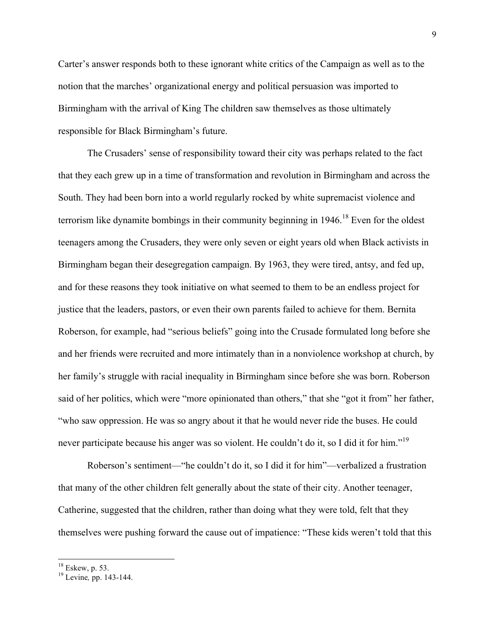Carter's answer responds both to these ignorant white critics of the Campaign as well as to the notion that the marches' organizational energy and political persuasion was imported to Birmingham with the arrival of King The children saw themselves as those ultimately responsible for Black Birmingham's future.

The Crusaders' sense of responsibility toward their city was perhaps related to the fact that they each grew up in a time of transformation and revolution in Birmingham and across the South. They had been born into a world regularly rocked by white supremacist violence and terrorism like dynamite bombings in their community beginning in 1946.<sup>18</sup> Even for the oldest teenagers among the Crusaders, they were only seven or eight years old when Black activists in Birmingham began their desegregation campaign. By 1963, they were tired, antsy, and fed up, and for these reasons they took initiative on what seemed to them to be an endless project for justice that the leaders, pastors, or even their own parents failed to achieve for them. Bernita Roberson, for example, had "serious beliefs" going into the Crusade formulated long before she and her friends were recruited and more intimately than in a nonviolence workshop at church, by her family's struggle with racial inequality in Birmingham since before she was born. Roberson said of her politics, which were "more opinionated than others," that she "got it from" her father, "who saw oppression. He was so angry about it that he would never ride the buses. He could never participate because his anger was so violent. He couldn't do it, so I did it for him."<sup>19</sup>

Roberson's sentiment—"he couldn't do it, so I did it for him"—verbalized a frustration that many of the other children felt generally about the state of their city. Another teenager, Catherine, suggested that the children, rather than doing what they were told, felt that they themselves were pushing forward the cause out of impatience: "These kids weren't told that this

<sup>18</sup> Eskew, p. 53. <sup>19</sup> Levine*,* pp. 143-144.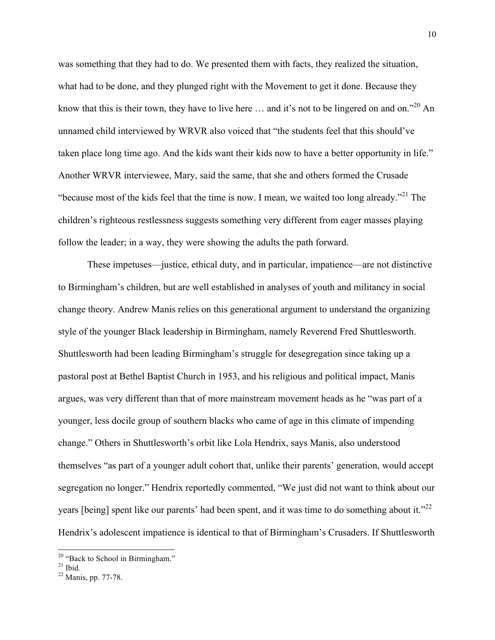was something that they had to do. We presented them with facts, they realized the situation, what had to be done, and they plunged right with the Movement to get it done. Because they know that this is their town, they have to live here  $\dots$  and it's not to be lingered on and on."<sup>20</sup> An unnamed child interviewed by WRVR also voiced that "the students feel that this should've taken place long time ago. And the kids want their kids now to have a better opportunity in life." Another WRVR interviewee, Mary, said the same, that she and others formed the Crusade "because most of the kids feel that the time is now. I mean, we waited too long already."<sup>21</sup> The children's righteous restlessness suggests something very different from eager masses playing follow the leader; in a way, they were showing the adults the path forward.

These impetuses—justice, ethical duty, and in particular, impatience—are not distinctive to Birmingham's children, but are well established in analyses of youth and militancy in social change theory. Andrew Manis relies on this generational argument to understand the organizing style of the younger Black leadership in Birmingham, namely Reverend Fred Shuttlesworth. Shuttlesworth had been leading Birmingham's struggle for desegregation since taking up a pastoral post at Bethel Baptist Church in 1953, and his religious and political impact, Manis argues, was very different than that of more mainstream movement heads as he "was part of a younger, less docile group of southern blacks who came of age in this climate of impending change." Others in Shuttlesworth's orbit like Lola Hendrix, says Manis, also understood themselves "as part of a younger adult cohort that, unlike their parents' generation, would accept segregation no longer." Hendrix reportedly commented, "We just did not want to think about our years [being] spent like our parents' had been spent, and it was time to do something about it."<sup>22</sup> Hendrix's adolescent impatience is identical to that of Birmingham's Crusaders. If Shuttlesworth

<sup>&</sup>lt;sup>20</sup> "Back to School in Birmingham."<br><sup>21</sup> Ibid.<br><sup>22</sup> Manis, pp. 77-78.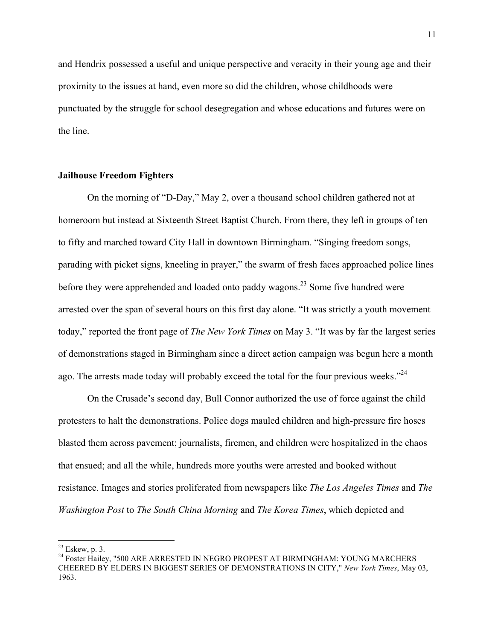and Hendrix possessed a useful and unique perspective and veracity in their young age and their proximity to the issues at hand, even more so did the children, whose childhoods were punctuated by the struggle for school desegregation and whose educations and futures were on the line.

# **Jailhouse Freedom Fighters**

On the morning of "D-Day," May 2, over a thousand school children gathered not at homeroom but instead at Sixteenth Street Baptist Church. From there, they left in groups of ten to fifty and marched toward City Hall in downtown Birmingham. "Singing freedom songs, parading with picket signs, kneeling in prayer," the swarm of fresh faces approached police lines before they were apprehended and loaded onto paddy wagons.<sup>23</sup> Some five hundred were arrested over the span of several hours on this first day alone. "It was strictly a youth movement today," reported the front page of *The New York Times* on May 3. "It was by far the largest series of demonstrations staged in Birmingham since a direct action campaign was begun here a month ago. The arrests made today will probably exceed the total for the four previous weeks. $124$ 

On the Crusade's second day, Bull Connor authorized the use of force against the child protesters to halt the demonstrations. Police dogs mauled children and high-pressure fire hoses blasted them across pavement; journalists, firemen, and children were hospitalized in the chaos that ensued; and all the while, hundreds more youths were arrested and booked without resistance. Images and stories proliferated from newspapers like *The Los Angeles Times* and *The Washington Post* to *The South China Morning* and *The Korea Times*, which depicted and

 $^{23}$  Eskew, p. 3.<br><sup>24</sup> Foster Hailey, "500 ARE ARRESTED IN NEGRO PROPEST AT BIRMINGHAM: YOUNG MARCHERS CHEERED BY ELDERS IN BIGGEST SERIES OF DEMONSTRATIONS IN CITY," *New York Times*, May 03, 1963.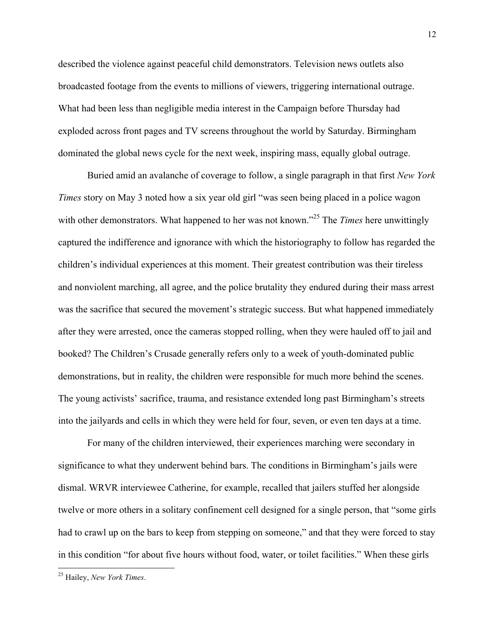described the violence against peaceful child demonstrators. Television news outlets also broadcasted footage from the events to millions of viewers, triggering international outrage. What had been less than negligible media interest in the Campaign before Thursday had exploded across front pages and TV screens throughout the world by Saturday. Birmingham dominated the global news cycle for the next week, inspiring mass, equally global outrage.

Buried amid an avalanche of coverage to follow, a single paragraph in that first *New York Times* story on May 3 noted how a six year old girl "was seen being placed in a police wagon with other demonstrators. What happened to her was not known.<sup>25</sup> The *Times* here unwittingly captured the indifference and ignorance with which the historiography to follow has regarded the children's individual experiences at this moment. Their greatest contribution was their tireless and nonviolent marching, all agree, and the police brutality they endured during their mass arrest was the sacrifice that secured the movement's strategic success. But what happened immediately after they were arrested, once the cameras stopped rolling, when they were hauled off to jail and booked? The Children's Crusade generally refers only to a week of youth-dominated public demonstrations, but in reality, the children were responsible for much more behind the scenes. The young activists' sacrifice, trauma, and resistance extended long past Birmingham's streets into the jailyards and cells in which they were held for four, seven, or even ten days at a time.

For many of the children interviewed, their experiences marching were secondary in significance to what they underwent behind bars. The conditions in Birmingham's jails were dismal. WRVR interviewee Catherine, for example, recalled that jailers stuffed her alongside twelve or more others in a solitary confinement cell designed for a single person, that "some girls had to crawl up on the bars to keep from stepping on someone," and that they were forced to stay in this condition "for about five hours without food, water, or toilet facilities." When these girls

<sup>25</sup> Hailey, *New York Times*.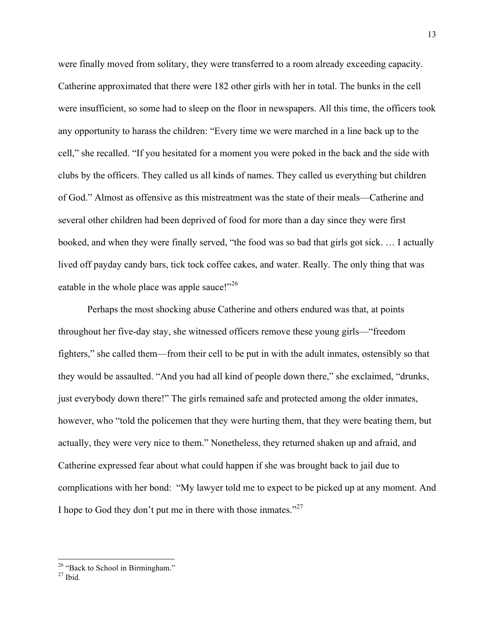were finally moved from solitary, they were transferred to a room already exceeding capacity. Catherine approximated that there were 182 other girls with her in total. The bunks in the cell were insufficient, so some had to sleep on the floor in newspapers. All this time, the officers took any opportunity to harass the children: "Every time we were marched in a line back up to the cell," she recalled. "If you hesitated for a moment you were poked in the back and the side with clubs by the officers. They called us all kinds of names. They called us everything but children of God." Almost as offensive as this mistreatment was the state of their meals—Catherine and several other children had been deprived of food for more than a day since they were first booked, and when they were finally served, "the food was so bad that girls got sick. … I actually lived off payday candy bars, tick tock coffee cakes, and water. Really. The only thing that was eatable in the whole place was apple sauce!"<sup>26</sup>

Perhaps the most shocking abuse Catherine and others endured was that, at points throughout her five-day stay, she witnessed officers remove these young girls—"freedom fighters," she called them—from their cell to be put in with the adult inmates, ostensibly so that they would be assaulted. "And you had all kind of people down there," she exclaimed, "drunks, just everybody down there!" The girls remained safe and protected among the older inmates, however, who "told the policemen that they were hurting them, that they were beating them, but actually, they were very nice to them." Nonetheless, they returned shaken up and afraid, and Catherine expressed fear about what could happen if she was brought back to jail due to complications with her bond: "My lawyer told me to expect to be picked up at any moment. And I hope to God they don't put me in there with those inmates."<sup>27</sup>

<sup>&</sup>lt;sup>26</sup> "Back to School in Birmingham."<br><sup>27</sup> Ibid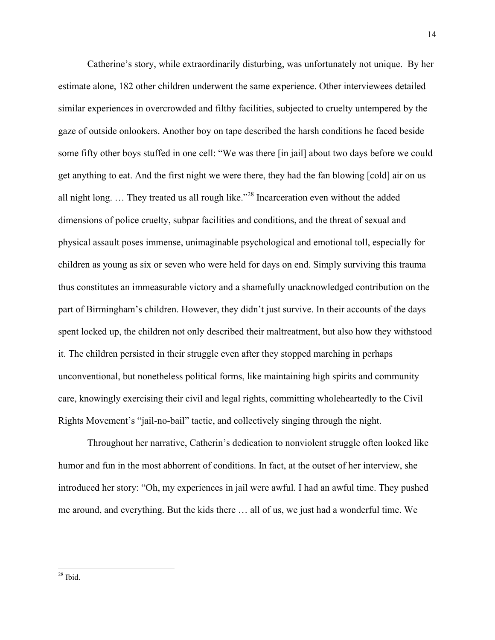Catherine's story, while extraordinarily disturbing, was unfortunately not unique. By her estimate alone, 182 other children underwent the same experience. Other interviewees detailed similar experiences in overcrowded and filthy facilities, subjected to cruelty untempered by the gaze of outside onlookers. Another boy on tape described the harsh conditions he faced beside some fifty other boys stuffed in one cell: "We was there [in jail] about two days before we could get anything to eat. And the first night we were there, they had the fan blowing [cold] air on us all night long. … They treated us all rough like."28 Incarceration even without the added dimensions of police cruelty, subpar facilities and conditions, and the threat of sexual and physical assault poses immense, unimaginable psychological and emotional toll, especially for children as young as six or seven who were held for days on end. Simply surviving this trauma thus constitutes an immeasurable victory and a shamefully unacknowledged contribution on the part of Birmingham's children. However, they didn't just survive. In their accounts of the days spent locked up, the children not only described their maltreatment, but also how they withstood it. The children persisted in their struggle even after they stopped marching in perhaps unconventional, but nonetheless political forms, like maintaining high spirits and community care, knowingly exercising their civil and legal rights, committing wholeheartedly to the Civil Rights Movement's "jail-no-bail" tactic, and collectively singing through the night.

Throughout her narrative, Catherin's dedication to nonviolent struggle often looked like humor and fun in the most abhorrent of conditions. In fact, at the outset of her interview, she introduced her story: "Oh, my experiences in jail were awful. I had an awful time. They pushed me around, and everything. But the kids there … all of us, we just had a wonderful time. We

 $28$  Ibid.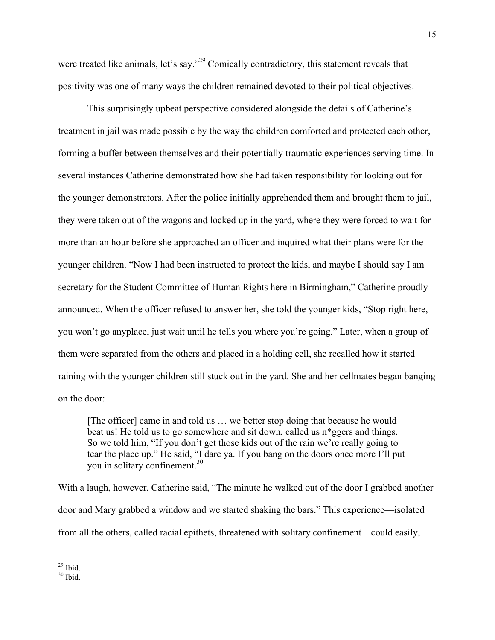were treated like animals, let's say."<sup>29</sup> Comically contradictory, this statement reveals that positivity was one of many ways the children remained devoted to their political objectives.

This surprisingly upbeat perspective considered alongside the details of Catherine's treatment in jail was made possible by the way the children comforted and protected each other, forming a buffer between themselves and their potentially traumatic experiences serving time. In several instances Catherine demonstrated how she had taken responsibility for looking out for the younger demonstrators. After the police initially apprehended them and brought them to jail, they were taken out of the wagons and locked up in the yard, where they were forced to wait for more than an hour before she approached an officer and inquired what their plans were for the younger children. "Now I had been instructed to protect the kids, and maybe I should say I am secretary for the Student Committee of Human Rights here in Birmingham," Catherine proudly announced. When the officer refused to answer her, she told the younger kids, "Stop right here, you won't go anyplace, just wait until he tells you where you're going." Later, when a group of them were separated from the others and placed in a holding cell, she recalled how it started raining with the younger children still stuck out in the yard. She and her cellmates began banging on the door:

[The officer] came in and told us … we better stop doing that because he would beat us! He told us to go somewhere and sit down, called us n\*ggers and things. So we told him, "If you don't get those kids out of the rain we're really going to tear the place up." He said, "I dare ya. If you bang on the doors once more I'll put you in solitary confinement.<sup>30</sup>

With a laugh, however, Catherine said, "The minute he walked out of the door I grabbed another door and Mary grabbed a window and we started shaking the bars." This experience—isolated from all the others, called racial epithets, threatened with solitary confinement—could easily,

 $^{29}$  Ibid.<br> $^{30}$  Ibid.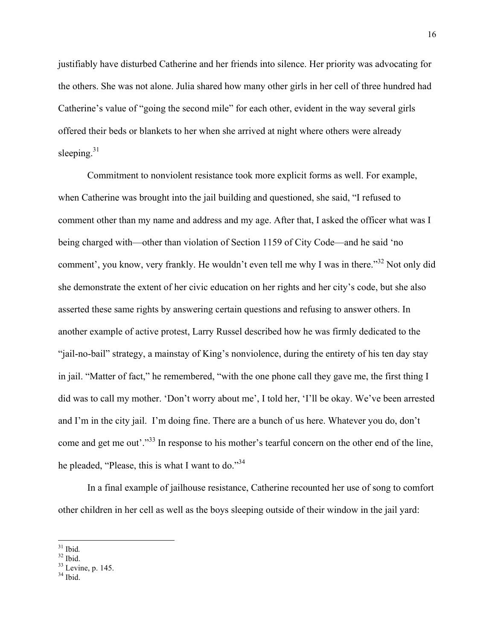justifiably have disturbed Catherine and her friends into silence. Her priority was advocating for the others. She was not alone. Julia shared how many other girls in her cell of three hundred had Catherine's value of "going the second mile" for each other, evident in the way several girls offered their beds or blankets to her when she arrived at night where others were already sleeping. $31$ 

Commitment to nonviolent resistance took more explicit forms as well. For example, when Catherine was brought into the jail building and questioned, she said, "I refused to comment other than my name and address and my age. After that, I asked the officer what was I being charged with—other than violation of Section 1159 of City Code—and he said 'no comment', you know, very frankly. He wouldn't even tell me why I was in there."<sup>32</sup> Not only did she demonstrate the extent of her civic education on her rights and her city's code, but she also asserted these same rights by answering certain questions and refusing to answer others. In another example of active protest, Larry Russel described how he was firmly dedicated to the "jail-no-bail" strategy, a mainstay of King's nonviolence, during the entirety of his ten day stay in jail. "Matter of fact," he remembered, "with the one phone call they gave me, the first thing I did was to call my mother. 'Don't worry about me', I told her, 'I'll be okay. We've been arrested and I'm in the city jail. I'm doing fine. There are a bunch of us here. Whatever you do, don't come and get me out'."<sup>33</sup> In response to his mother's tearful concern on the other end of the line, he pleaded, "Please, this is what I want to do."<sup>34</sup>

In a final example of jailhouse resistance, Catherine recounted her use of song to comfort other children in her cell as well as the boys sleeping outside of their window in the jail yard:

<sup>&</sup>lt;sup>31</sup> Ibid.<br><sup>32</sup> Ibid.<br><sup>33</sup> Levine, p. 145.<br><sup>34</sup> Ibid.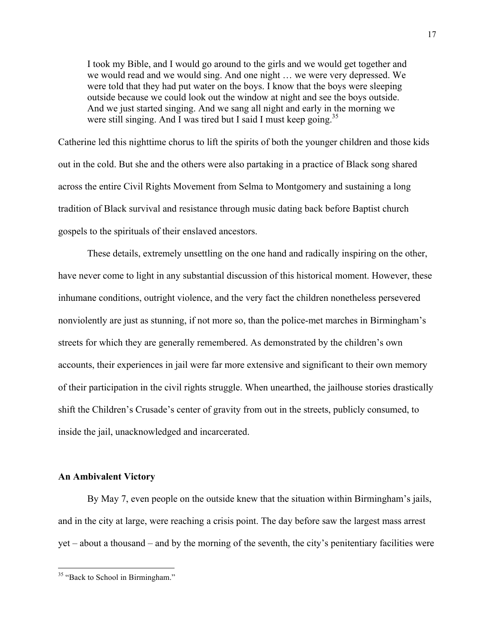I took my Bible, and I would go around to the girls and we would get together and we would read and we would sing. And one night … we were very depressed. We were told that they had put water on the boys. I know that the boys were sleeping outside because we could look out the window at night and see the boys outside. And we just started singing. And we sang all night and early in the morning we were still singing. And I was tired but I said I must keep going.<sup>35</sup>

Catherine led this nighttime chorus to lift the spirits of both the younger children and those kids out in the cold. But she and the others were also partaking in a practice of Black song shared across the entire Civil Rights Movement from Selma to Montgomery and sustaining a long tradition of Black survival and resistance through music dating back before Baptist church gospels to the spirituals of their enslaved ancestors.

These details, extremely unsettling on the one hand and radically inspiring on the other, have never come to light in any substantial discussion of this historical moment. However, these inhumane conditions, outright violence, and the very fact the children nonetheless persevered nonviolently are just as stunning, if not more so, than the police-met marches in Birmingham's streets for which they are generally remembered. As demonstrated by the children's own accounts, their experiences in jail were far more extensive and significant to their own memory of their participation in the civil rights struggle. When unearthed, the jailhouse stories drastically shift the Children's Crusade's center of gravity from out in the streets, publicly consumed, to inside the jail, unacknowledged and incarcerated.

## **An Ambivalent Victory**

By May 7, even people on the outside knew that the situation within Birmingham's jails, and in the city at large, were reaching a crisis point. The day before saw the largest mass arrest yet – about a thousand – and by the morning of the seventh, the city's penitentiary facilities were

<sup>&</sup>lt;sup>35</sup> "Back to School in Birmingham."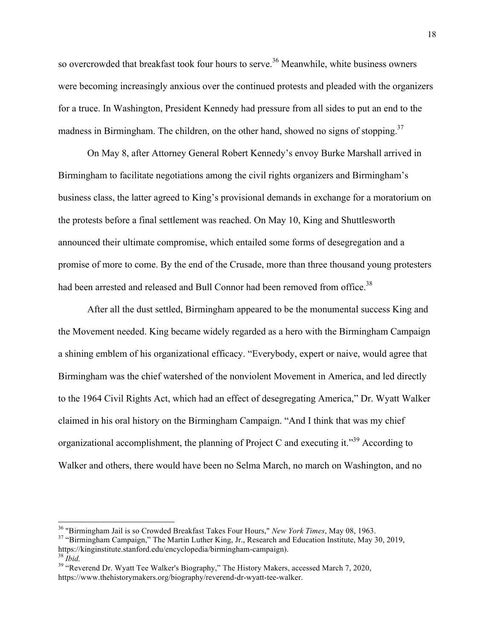so overcrowded that breakfast took four hours to serve.<sup>36</sup> Meanwhile, white business owners were becoming increasingly anxious over the continued protests and pleaded with the organizers for a truce. In Washington, President Kennedy had pressure from all sides to put an end to the madness in Birmingham. The children, on the other hand, showed no signs of stopping.<sup>37</sup>

On May 8, after Attorney General Robert Kennedy's envoy Burke Marshall arrived in Birmingham to facilitate negotiations among the civil rights organizers and Birmingham's business class, the latter agreed to King's provisional demands in exchange for a moratorium on the protests before a final settlement was reached. On May 10, King and Shuttlesworth announced their ultimate compromise, which entailed some forms of desegregation and a promise of more to come. By the end of the Crusade, more than three thousand young protesters had been arrested and released and Bull Connor had been removed from office.<sup>38</sup>

After all the dust settled, Birmingham appeared to be the monumental success King and the Movement needed. King became widely regarded as a hero with the Birmingham Campaign a shining emblem of his organizational efficacy. "Everybody, expert or naive, would agree that Birmingham was the chief watershed of the nonviolent Movement in America, and led directly to the 1964 Civil Rights Act, which had an effect of desegregating America," Dr. Wyatt Walker claimed in his oral history on the Birmingham Campaign. "And I think that was my chief organizational accomplishment, the planning of Project C and executing it.<sup>39</sup> According to Walker and others, there would have been no Selma March, no march on Washington, and no

<sup>&</sup>lt;sup>36</sup> "Birmingham Jail is so Crowded Breakfast Takes Four Hours," *New York Times*, May 08, 1963.<br><sup>37</sup> "Birmingham Campaign," The Martin Luther King, Jr., Research and Education Institute, May 30, 2019, https://kinginstitute.stanford.edu/encyclopedia/birmingham-campaign).<br><sup>38</sup> *Ibid.* 39 "Reverend Dr. Wyatt Tee Walker's Biography," The History Makers, accessed March 7, 2020,

https://www.thehistorymakers.org/biography/reverend-dr-wyatt-tee-walker.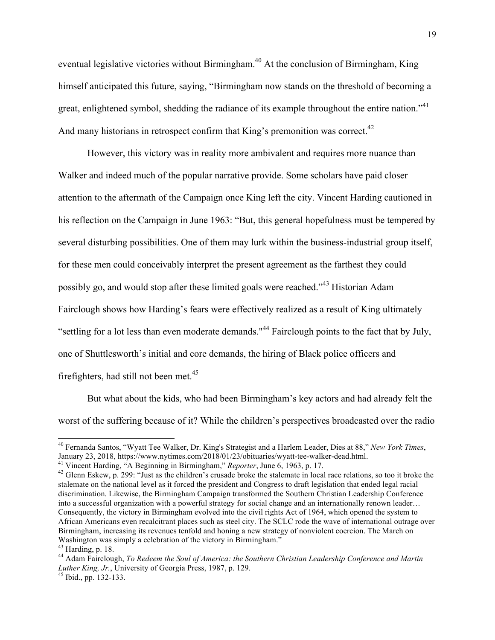eventual legislative victories without Birmingham.<sup>40</sup> At the conclusion of Birmingham, King himself anticipated this future, saying, "Birmingham now stands on the threshold of becoming a great, enlightened symbol, shedding the radiance of its example throughout the entire nation."<sup>41</sup> And many historians in retrospect confirm that King's premonition was correct.<sup>42</sup>

However, this victory was in reality more ambivalent and requires more nuance than Walker and indeed much of the popular narrative provide. Some scholars have paid closer attention to the aftermath of the Campaign once King left the city. Vincent Harding cautioned in his reflection on the Campaign in June 1963: "But, this general hopefulness must be tempered by several disturbing possibilities. One of them may lurk within the business-industrial group itself, for these men could conceivably interpret the present agreement as the farthest they could possibly go, and would stop after these limited goals were reached."<sup>43</sup> Historian Adam Fairclough shows how Harding's fears were effectively realized as a result of King ultimately "settling for a lot less than even moderate demands."<sup>44</sup> Fairclough points to the fact that by July, one of Shuttlesworth's initial and core demands, the hiring of Black police officers and firefighters, had still not been met.<sup>45</sup>

But what about the kids, who had been Birmingham's key actors and had already felt the worst of the suffering because of it? While the children's perspectives broadcasted over the radio

<sup>&</sup>lt;sup>40</sup> Fernanda Santos, "Wyatt Tee Walker, Dr. King's Strategist and a Harlem Leader, Dies at 88," *New York Times*, January 23, 2018, https://www.nytimes.com/2018/01/23/obituaries/wyatt-tee-walker-dead.html.

<sup>&</sup>lt;sup>41</sup> Vincent Harding, "A Beginning in Birmingham," *Reporter*, June 6, 1963, p. 17.<br><sup>42</sup> Glenn Eskew, p. 299: "Just as the children's crusade broke the stalemate in local race relations, so too it broke the stalemate on the national level as it forced the president and Congress to draft legislation that ended legal racial discrimination. Likewise, the Birmingham Campaign transformed the Southern Christian Leadership Conference into a successful organization with a powerful strategy for social change and an internationally renown leader… Consequently, the victory in Birmingham evolved into the civil rights Act of 1964, which opened the system to African Americans even recalcitrant places such as steel city. The SCLC rode the wave of international outrage over Birmingham, increasing its revenues tenfold and honing a new strategy of nonviolent coercion. The March on Washington was simply a celebration of the victory in Birmingham."<br><sup>43</sup> Harding, p. 18.

<sup>&</sup>lt;sup>44</sup> Adam Fairclough, *To Redeem the Soul of America: the Southern Christian Leadership Conference and Martin Luther King, Jr.*, University of Georgia Press, 1987, p. 129. <sup>45</sup> Ibid., pp. 132-133.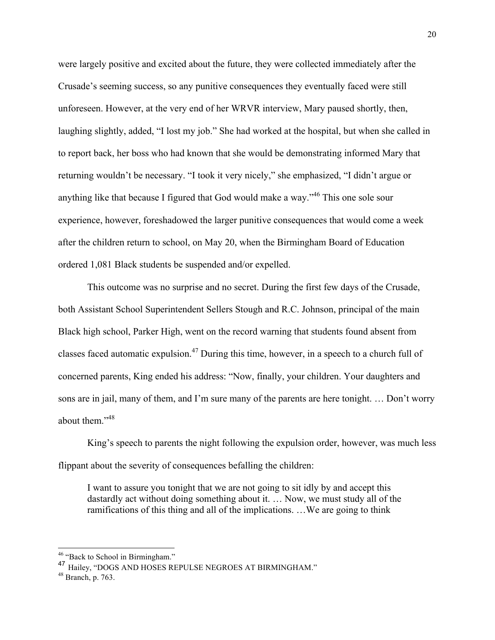were largely positive and excited about the future, they were collected immediately after the Crusade's seeming success, so any punitive consequences they eventually faced were still unforeseen. However, at the very end of her WRVR interview, Mary paused shortly, then, laughing slightly, added, "I lost my job." She had worked at the hospital, but when she called in to report back, her boss who had known that she would be demonstrating informed Mary that returning wouldn't be necessary. "I took it very nicely," she emphasized, "I didn't argue or anything like that because I figured that God would make a way."46 This one sole sour experience, however, foreshadowed the larger punitive consequences that would come a week after the children return to school, on May 20, when the Birmingham Board of Education ordered 1,081 Black students be suspended and/or expelled.

This outcome was no surprise and no secret. During the first few days of the Crusade, both Assistant School Superintendent Sellers Stough and R.C. Johnson, principal of the main Black high school, Parker High, went on the record warning that students found absent from classes faced automatic expulsion.<sup>47</sup> During this time, however, in a speech to a church full of concerned parents, King ended his address: "Now, finally, your children. Your daughters and sons are in jail, many of them, and I'm sure many of the parents are here tonight. … Don't worry about them."<sup>48</sup>

King's speech to parents the night following the expulsion order, however, was much less flippant about the severity of consequences befalling the children:

I want to assure you tonight that we are not going to sit idly by and accept this dastardly act without doing something about it. … Now, we must study all of the ramifications of this thing and all of the implications. …We are going to think

<sup>&</sup>lt;sup>46</sup> "Back to School in Birmingham."

<sup>47</sup> Hailey, "DOGS AND HOSES REPULSE NEGROES AT BIRMINGHAM."

<sup>48</sup> Branch, p. 763.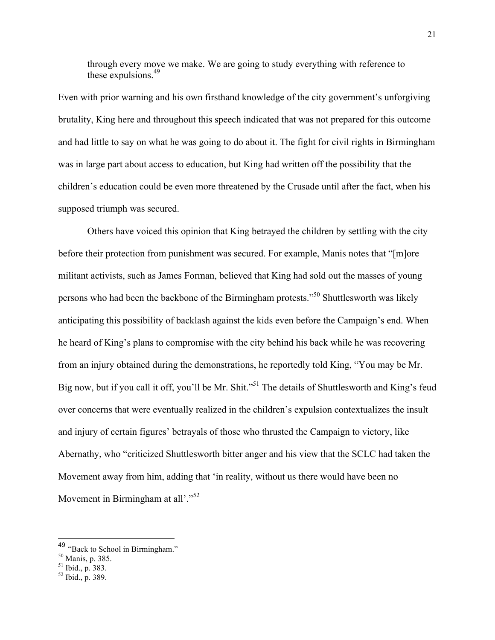through every move we make. We are going to study everything with reference to these expulsions. 49

Even with prior warning and his own firsthand knowledge of the city government's unforgiving brutality, King here and throughout this speech indicated that was not prepared for this outcome and had little to say on what he was going to do about it. The fight for civil rights in Birmingham was in large part about access to education, but King had written off the possibility that the children's education could be even more threatened by the Crusade until after the fact, when his supposed triumph was secured.

Others have voiced this opinion that King betrayed the children by settling with the city before their protection from punishment was secured. For example, Manis notes that "[m]ore militant activists, such as James Forman, believed that King had sold out the masses of young persons who had been the backbone of the Birmingham protests."50 Shuttlesworth was likely anticipating this possibility of backlash against the kids even before the Campaign's end. When he heard of King's plans to compromise with the city behind his back while he was recovering from an injury obtained during the demonstrations, he reportedly told King, "You may be Mr. Big now, but if you call it off, you'll be Mr. Shit."<sup>51</sup> The details of Shuttlesworth and King's feud over concerns that were eventually realized in the children's expulsion contextualizes the insult and injury of certain figures' betrayals of those who thrusted the Campaign to victory, like Abernathy, who "criticized Shuttlesworth bitter anger and his view that the SCLC had taken the Movement away from him, adding that 'in reality, without us there would have been no Movement in Birmingham at all'."<sup>52</sup>

 $^{49}$  "Back to School in Birmingham."<br><sup>50</sup> Manis, p. 385.

 $\frac{51}{10}$  Ibid., p. 383.<br> $\frac{52}{100}$  Ibid., p. 389.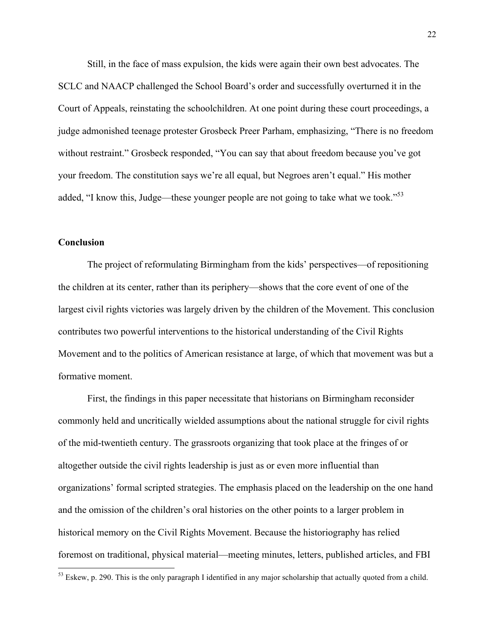Still, in the face of mass expulsion, the kids were again their own best advocates. The SCLC and NAACP challenged the School Board's order and successfully overturned it in the Court of Appeals, reinstating the schoolchildren. At one point during these court proceedings, a judge admonished teenage protester Grosbeck Preer Parham, emphasizing, "There is no freedom without restraint." Grosbeck responded, "You can say that about freedom because you've got your freedom. The constitution says we're all equal, but Negroes aren't equal." His mother added, "I know this, Judge—these younger people are not going to take what we took."<sup>53</sup>

# **Conclusion**

The project of reformulating Birmingham from the kids' perspectives—of repositioning the children at its center, rather than its periphery—shows that the core event of one of the largest civil rights victories was largely driven by the children of the Movement. This conclusion contributes two powerful interventions to the historical understanding of the Civil Rights Movement and to the politics of American resistance at large, of which that movement was but a formative moment.

First, the findings in this paper necessitate that historians on Birmingham reconsider commonly held and uncritically wielded assumptions about the national struggle for civil rights of the mid-twentieth century. The grassroots organizing that took place at the fringes of or altogether outside the civil rights leadership is just as or even more influential than organizations' formal scripted strategies. The emphasis placed on the leadership on the one hand and the omission of the children's oral histories on the other points to a larger problem in historical memory on the Civil Rights Movement. Because the historiography has relied foremost on traditional, physical material—meeting minutes, letters, published articles, and FBI

 $53$  Eskew, p. 290. This is the only paragraph I identified in any major scholarship that actually quoted from a child.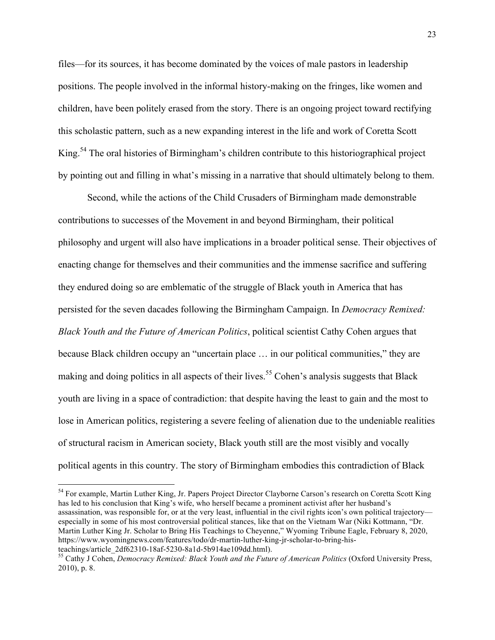files—for its sources, it has become dominated by the voices of male pastors in leadership positions. The people involved in the informal history-making on the fringes, like women and children, have been politely erased from the story. There is an ongoing project toward rectifying this scholastic pattern, such as a new expanding interest in the life and work of Coretta Scott King.<sup>54</sup> The oral histories of Birmingham's children contribute to this historiographical project by pointing out and filling in what's missing in a narrative that should ultimately belong to them.

Second, while the actions of the Child Crusaders of Birmingham made demonstrable contributions to successes of the Movement in and beyond Birmingham, their political philosophy and urgent will also have implications in a broader political sense. Their objectives of enacting change for themselves and their communities and the immense sacrifice and suffering they endured doing so are emblematic of the struggle of Black youth in America that has persisted for the seven dacades following the Birmingham Campaign. In *Democracy Remixed: Black Youth and the Future of American Politics*, political scientist Cathy Cohen argues that because Black children occupy an "uncertain place … in our political communities," they are making and doing politics in all aspects of their lives.<sup>55</sup> Cohen's analysis suggests that Black youth are living in a space of contradiction: that despite having the least to gain and the most to lose in American politics, registering a severe feeling of alienation due to the undeniable realities of structural racism in American society, Black youth still are the most visibly and vocally political agents in this country. The story of Birmingham embodies this contradiction of Black

<sup>54</sup> For example, Martin Luther King, Jr. Papers Project Director Clayborne Carson's research on Coretta Scott King has led to his conclusion that King's wife, who herself became a prominent activist after her husband's assassination, was responsible for, or at the very least, influential in the civil rights icon's own political trajectory especially in some of his most controversial political stances, like that on the Vietnam War (Niki Kottmann, "Dr. Martin Luther King Jr. Scholar to Bring His Teachings to Cheyenne," Wyoming Tribune Eagle, February 8, 2020, https://www.wyomingnews.com/features/todo/dr-martin-luther-king-jr-scholar-to-bring-his-

teachings/article\_2df62310-18af-5230-8a1d-5b914ae109dd.html). <sup>55</sup> Cathy J Cohen, *Democracy Remixed: Black Youth and the Future of American Politics* (Oxford University Press, 2010), p. 8.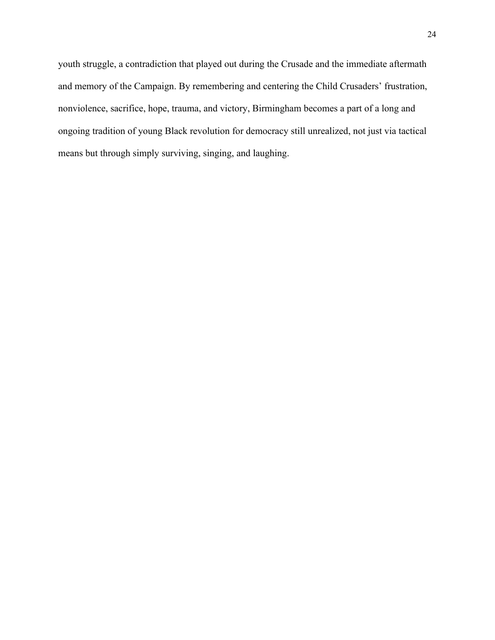youth struggle, a contradiction that played out during the Crusade and the immediate aftermath and memory of the Campaign. By remembering and centering the Child Crusaders' frustration, nonviolence, sacrifice, hope, trauma, and victory, Birmingham becomes a part of a long and ongoing tradition of young Black revolution for democracy still unrealized, not just via tactical means but through simply surviving, singing, and laughing.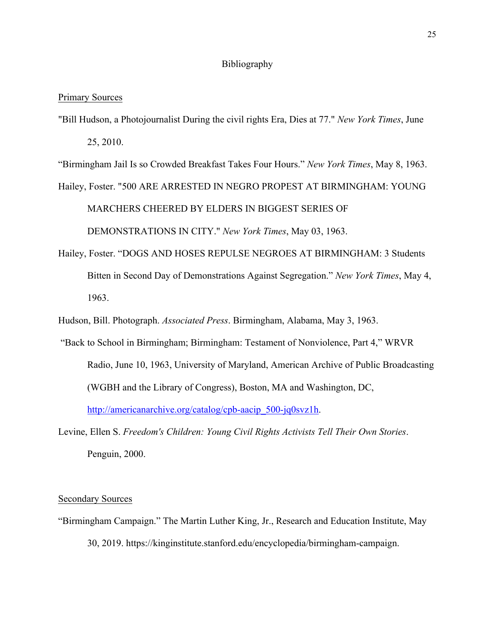# Bibliography

#### Primary Sources

"Bill Hudson, a Photojournalist During the civil rights Era, Dies at 77." *New York Times*, June 25, 2010.

"Birmingham Jail Is so Crowded Breakfast Takes Four Hours." *New York Times*, May 8, 1963. Hailey, Foster. "500 ARE ARRESTED IN NEGRO PROPEST AT BIRMINGHAM: YOUNG

MARCHERS CHEERED BY ELDERS IN BIGGEST SERIES OF

DEMONSTRATIONS IN CITY." *New York Times*, May 03, 1963.

Hailey, Foster. "DOGS AND HOSES REPULSE NEGROES AT BIRMINGHAM: 3 Students Bitten in Second Day of Demonstrations Against Segregation." *New York Times*, May 4, 1963.

Hudson, Bill. Photograph. *Associated Press*. Birmingham, Alabama, May 3, 1963.

"Back to School in Birmingham; Birmingham: Testament of Nonviolence, Part 4," WRVR Radio, June 10, 1963, University of Maryland, American Archive of Public Broadcasting (WGBH and the Library of Congress), Boston, MA and Washington, DC, http://americanarchive.org/catalog/cpb-aacip\_500-jq0svz1h.

Levine, Ellen S. *Freedom's Children: Young Civil Rights Activists Tell Their Own Stories*. Penguin, 2000.

## Secondary Sources

"Birmingham Campaign." The Martin Luther King, Jr., Research and Education Institute, May 30, 2019. https://kinginstitute.stanford.edu/encyclopedia/birmingham-campaign.